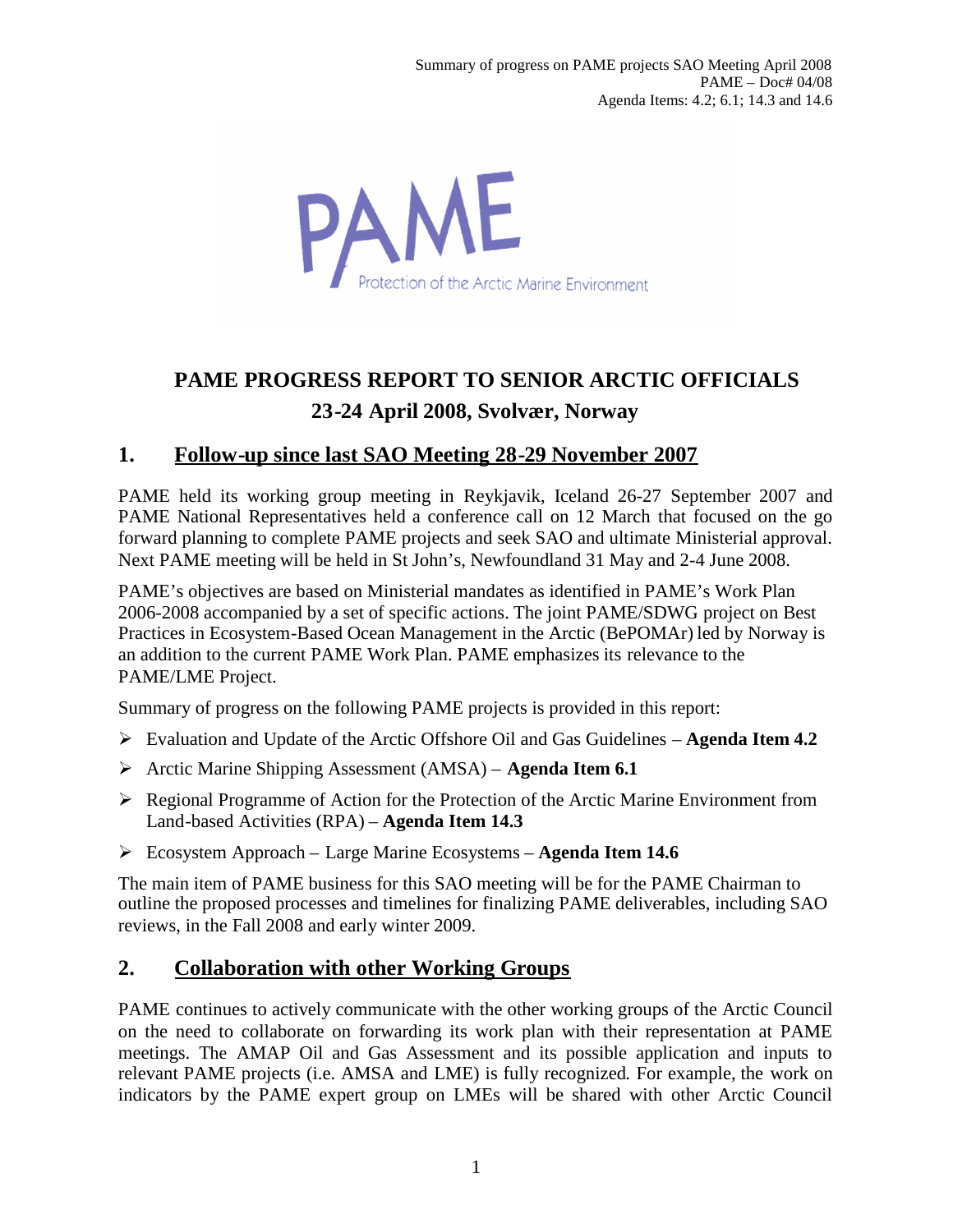PAME rotection of the Arctic Marine Environment

# **PAME PROGRESS REPORT TO SENIOR ARCTIC OFFICIALS 23-24 April 2008, Svolvær, Norway**

## **1. Follow-up since last SAO Meeting 28-29 November 2007**

PAME held its working group meeting in Reykjavik, Iceland 26-27 September 2007 and PAME National Representatives held a conference call on 12 March that focused on the go forward planning to complete PAME projects and seek SAO and ultimate Ministerial approval. Next PAME meeting will be held in St John's, Newfoundland 31 May and 2-4 June 2008.

PAME's objectives are based on Ministerial mandates as identified in PAME's Work Plan 2006-2008 accompanied by a set of specific actions. The joint PAME/SDWG project on Best Practices in Ecosystem-Based Ocean Management in the Arctic (BePOMAr) led by Norway is an addition to the current PAME Work Plan. PAME emphasizes its relevance to the PAME/LME Project.

Summary of progress on the following PAME projects is provided in this report:

- Evaluation and Update of the Arctic Offshore Oil and Gas Guidelines **Agenda Item 4.2**
- Arctic Marine Shipping Assessment (AMSA) **Agenda Item 6.1**
- Regional Programme of Action for the Protection of the Arctic Marine Environment from Land-based Activities (RPA) – **Agenda Item 14.3**
- Ecosystem Approach Large Marine Ecosystems **Agenda Item 14.6**

The main item of PAME business for this SAO meeting will be for the PAME Chairman to outline the proposed processes and timelines for finalizing PAME deliverables, including SAO reviews, in the Fall 2008 and early winter 2009.

## **2. Collaboration with other Working Groups**

PAME continues to actively communicate with the other working groups of the Arctic Council on the need to collaborate on forwarding its work plan with their representation at PAME meetings. The AMAP Oil and Gas Assessment and its possible application and inputs to relevant PAME projects (i.e. AMSA and LME) is fully recognized. For example, the work on indicators by the PAME expert group on LMEs will be shared with other Arctic Council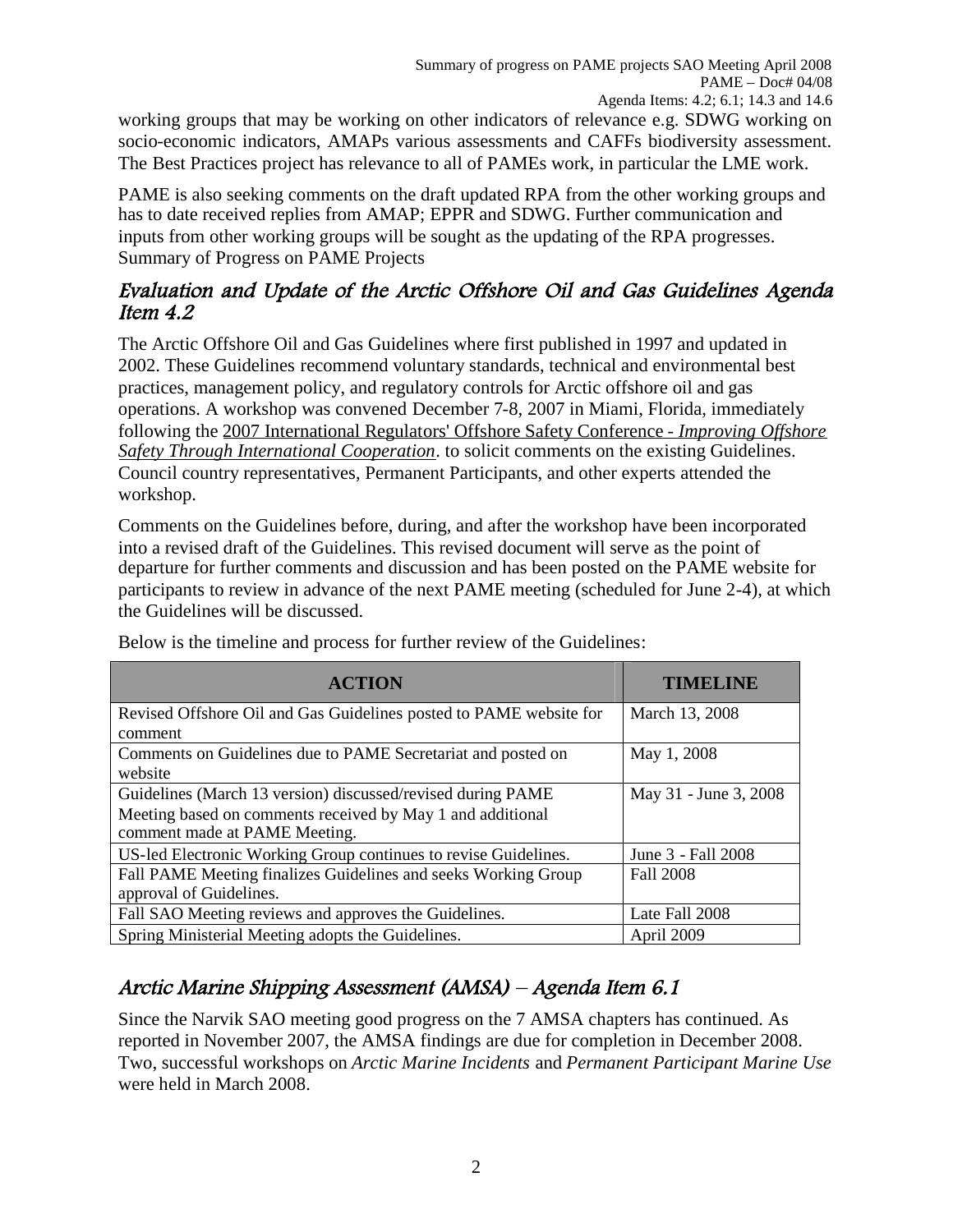working groups that may be working on other indicators of relevance e.g. SDWG working on socio-economic indicators, AMAPs various assessments and CAFFs biodiversity assessment. The Best Practices project has relevance to all of PAMEs work, in particular the LME work.

PAME is also seeking comments on the draft updated RPA from the other working groups and has to date received replies from AMAP; EPPR and SDWG. Further communication and inputs from other working groups will be sought as the updating of the RPA progresses. Summary of Progress on PAME Projects

### Evaluation and Update of the Arctic Offshore Oil and Gas Guidelines Agenda Item 4.2

The Arctic Offshore Oil and Gas Guidelines where first published in 1997 and updated in 2002. These Guidelines recommend voluntary standards, technical and environmental best practices, management policy, and regulatory controls for Arctic offshore oil and gas operations. A workshop was convened December 7-8, 2007 in Miami, Florida, immediately following the [2007 International Regulators' Offshore Safety Conference](http://www.mms.gov/international/IRF/SecondIROSC.htm) - *Improving Offshore Safety Through International Cooperation*. to solicit comments on the existing Guidelines. Council country representatives, Permanent Participants, and other experts attended the workshop.

Comments on the Guidelines before, during, and after the workshop have been incorporated into a revised draft of the Guidelines. This revised document will serve as the point of departure for further comments and discussion and has been posted on the PAME website for participants to review in advance of the next PAME meeting (scheduled for June 2-4), at which the Guidelines will be discussed.

| <b>ACTION</b>                                                      | <b>TIMELINE</b>       |
|--------------------------------------------------------------------|-----------------------|
| Revised Offshore Oil and Gas Guidelines posted to PAME website for | March 13, 2008        |
| comment                                                            |                       |
| Comments on Guidelines due to PAME Secretariat and posted on       | May 1, 2008           |
| website                                                            |                       |
| Guidelines (March 13 version) discussed/revised during PAME        | May 31 - June 3, 2008 |
| Meeting based on comments received by May 1 and additional         |                       |
| comment made at PAME Meeting.                                      |                       |
| US-led Electronic Working Group continues to revise Guidelines.    | June 3 - Fall 2008    |
| Fall PAME Meeting finalizes Guidelines and seeks Working Group     | <b>Fall 2008</b>      |
| approval of Guidelines.                                            |                       |
| Fall SAO Meeting reviews and approves the Guidelines.              | Late Fall 2008        |
| Spring Ministerial Meeting adopts the Guidelines.                  | April 2009            |

Below is the timeline and process for further review of the Guidelines:

## Arctic Marine Shipping Assessment (AMSA) – Agenda Item 6.1

Since the Narvik SAO meeting good progress on the 7 AMSA chapters has continued. As reported in November 2007, the AMSA findings are due for completion in December 2008. Two, successful workshops on *Arctic Marine Incidents* and *Permanent Participant Marine Use* were held in March 2008.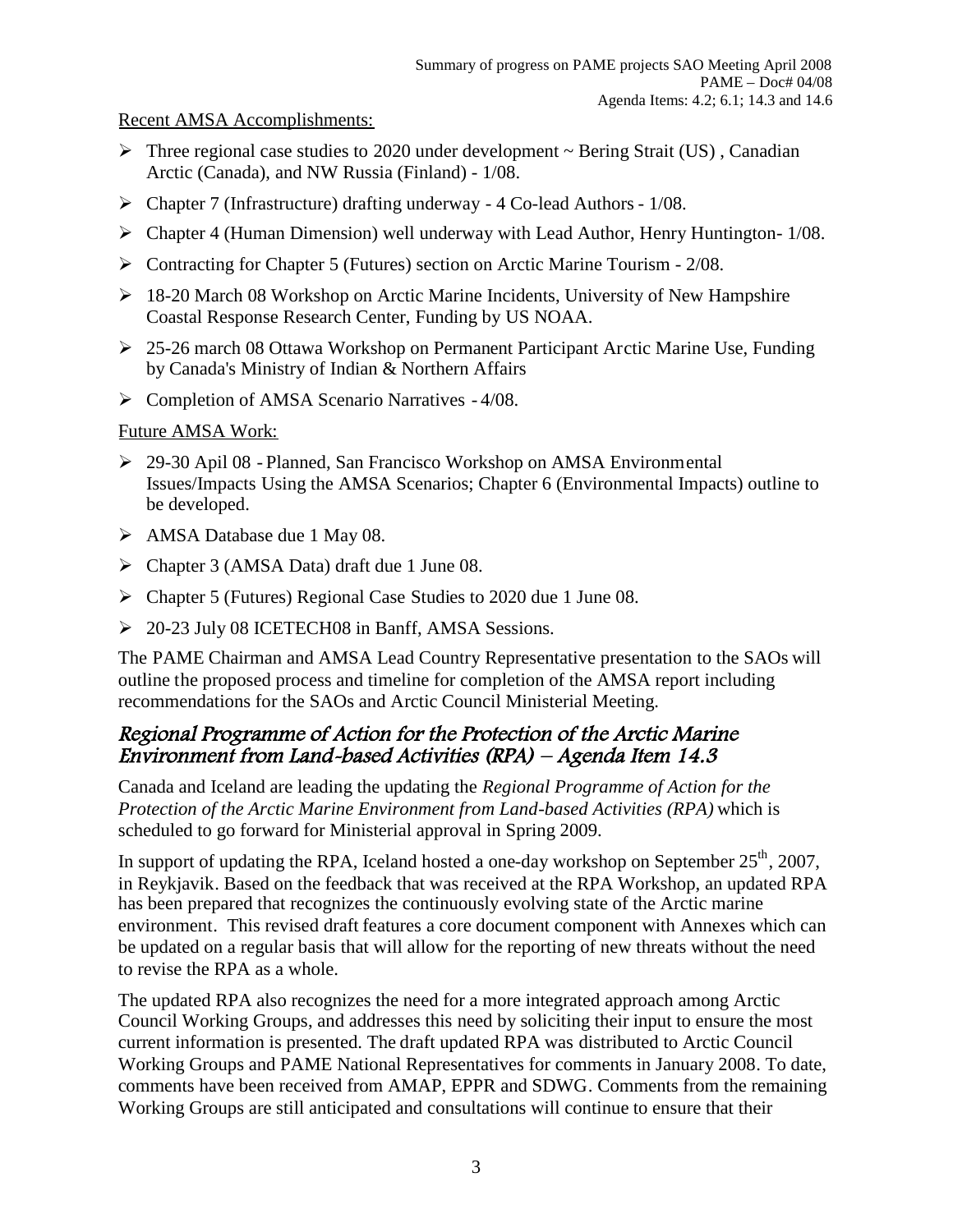#### Recent AMSA Accomplishments:

- $\triangleright$  Three regional case studies to 2020 under development  $\sim$  Bering Strait (US), Canadian Arctic (Canada), and NW Russia (Finland) - 1/08.
- Chapter 7 (Infrastructure) drafting underway 4 Co-lead Authors 1/08.
- Chapter 4 (Human Dimension) well underway with Lead Author, Henry Huntington- 1/08.
- Contracting for Chapter 5 (Futures) section on Arctic Marine Tourism 2/08.
- 18-20 March 08 Workshop on Arctic Marine Incidents, University of New Hampshire Coastal Response Research Center, Funding by US NOAA.
- 25-26 march 08 Ottawa Workshop on Permanent Participant Arctic Marine Use, Funding by Canada's Ministry of Indian & Northern Affairs
- $\triangleright$  Completion of AMSA Scenario Narratives 4/08.

#### Future AMSA Work:

- 29-30 Apil 08 Planned, San Francisco Workshop on AMSA Environmental Issues/Impacts Using the AMSA Scenarios; Chapter 6 (Environmental Impacts) outline to be developed.
- AMSA Database due 1 May 08.
- Chapter 3 (AMSA Data) draft due 1 June 08.
- Chapter 5 (Futures) Regional Case Studies to 2020 due 1 June 08.
- 20-23 July 08 ICETECH08 in Banff, AMSA Sessions.

The PAME Chairman and AMSA Lead Country Representative presentation to the SAOs will outline the proposed process and timeline for completion of the AMSA report including recommendations for the SAOs and Arctic Council Ministerial Meeting.

### Regional Programme of Action for the Protection of the Arctic Marine Environment from Land-based Activities (RPA) – Agenda Item 14.3

Canada and Iceland are leading the updating the *Regional Programme of Action for the Protection of the Arctic Marine Environment from Land-based Activities (RPA)* which is scheduled to go forward for Ministerial approval in Spring 2009.

In support of updating the RPA, Iceland hosted a one-day workshop on September  $25<sup>th</sup>$ , 2007, in Reykjavik. Based on the feedback that was received at the RPA Workshop, an updated RPA has been prepared that recognizes the continuously evolving state of the Arctic marine environment. This revised draft features a core document component with Annexes which can be updated on a regular basis that will allow for the reporting of new threats without the need to revise the RPA as a whole.

The updated RPA also recognizes the need for a more integrated approach among Arctic Council Working Groups, and addresses this need by soliciting their input to ensure the most current information is presented. The draft updated RPA was distributed to Arctic Council Working Groups and PAME National Representatives for comments in January 2008. To date, comments have been received from AMAP, EPPR and SDWG. Comments from the remaining Working Groups are still anticipated and consultations will continue to ensure that their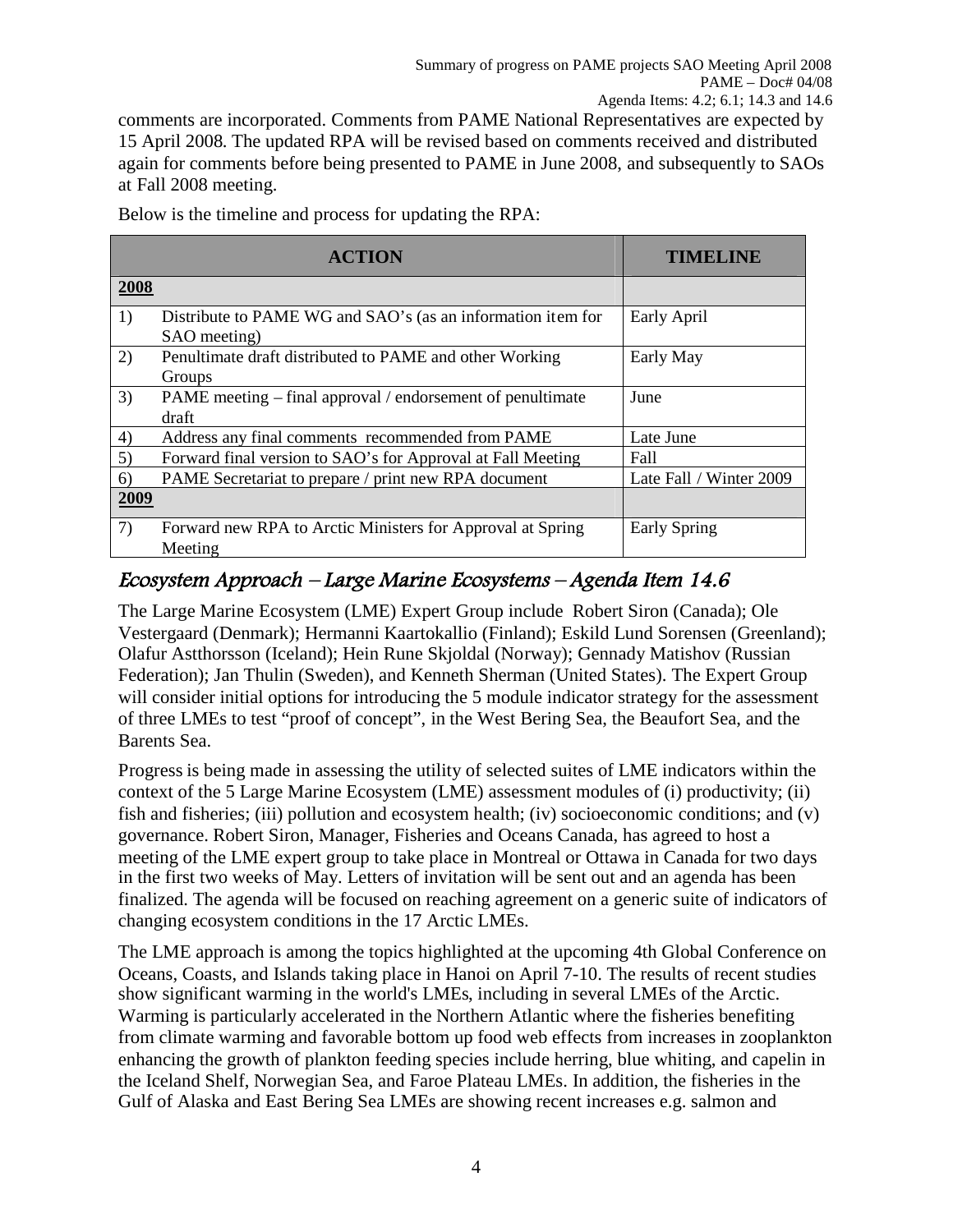comments are incorporated. Comments from PAME National Representatives are expected by 15 April 2008. The updated RPA will be revised based on comments received and distributed again for comments before being presented to PAME in June 2008, and subsequently to SAOs at Fall 2008 meeting.

Below is the timeline and process for updating the RPA:

|      | <b>ACTION</b>                                                               | <b>TIMELINE</b>         |
|------|-----------------------------------------------------------------------------|-------------------------|
| 2008 |                                                                             |                         |
| 1)   | Distribute to PAME WG and SAO's (as an information item for<br>SAO meeting) | Early April             |
| 2)   | Penultimate draft distributed to PAME and other Working<br>Groups           | Early May               |
| 3)   | PAME meeting – final approval / endorsement of penultimate<br>draft         | June                    |
| 4)   | Address any final comments recommended from PAME                            | Late June               |
| 5)   | Forward final version to SAO's for Approval at Fall Meeting                 | Fall                    |
| (6)  | PAME Secretariat to prepare / print new RPA document                        | Late Fall / Winter 2009 |
| 2009 |                                                                             |                         |
| 7)   | Forward new RPA to Arctic Ministers for Approval at Spring<br>Meeting       | <b>Early Spring</b>     |

## Ecosystem Approach – Large Marine Ecosystems – Agenda Item 14.6

The Large Marine Ecosystem (LME) Expert Group include Robert Siron (Canada); Ole Vestergaard (Denmark); Hermanni Kaartokallio (Finland); Eskild Lund Sorensen (Greenland); Olafur Astthorsson (Iceland); Hein Rune Skjoldal (Norway); Gennady Matishov (Russian Federation); Jan Thulin (Sweden), and Kenneth Sherman (United States). The Expert Group will consider initial options for introducing the 5 module indicator strategy for the assessment of three LMEs to test "proof of concept", in the West Bering Sea, the Beaufort Sea, and the Barents Sea.

Progress is being made in assessing the utility of selected suites of LME indicators within the context of the 5 Large Marine Ecosystem (LME) assessment modules of (i) productivity; (ii) fish and fisheries; (iii) pollution and ecosystem health; (iv) socioeconomic conditions; and (v) governance. Robert Siron, Manager, Fisheries and Oceans Canada, has agreed to host a meeting of the LME expert group to take place in Montreal or Ottawa in Canada for two days in the first two weeks of May. Letters of invitation will be sent out and an agenda has been finalized. The agenda will be focused on reaching agreement on a generic suite of indicators of changing ecosystem conditions in the 17 Arctic LMEs.

The LME approach is among the topics highlighted at the upcoming 4th Global Conference on Oceans, Coasts, and Islands taking place in Hanoi on April 7-10. The results of recent studies show significant warming in the world's LMEs, including in several LMEs of the Arctic. Warming is particularly accelerated in the Northern Atlantic where the fisheries benefiting from climate warming and favorable bottom up food web effects from increases in zooplankton enhancing the growth of plankton feeding species include herring, blue whiting, and capelin in the Iceland Shelf, Norwegian Sea, and Faroe Plateau LMEs. In addition, the fisheries in the Gulf of Alaska and East Bering Sea LMEs are showing recent increases e.g. salmon and